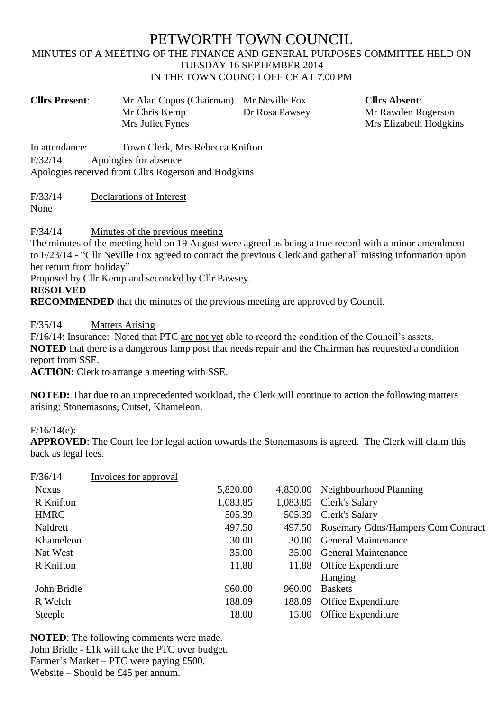# PETWORTH TOWN COUNCIL

#### MINUTES OF A MEETING OF THE FINANCE AND GENERAL PURPOSES COMMITTEE HELD ON TUESDAY 16 SEPTEMBER 2014 IN THE TOWN COUNCILOFFICE AT 7.00 PM

| <b>Cllrs Present:</b>                               | Mr Alan Copus (Chairman)<br>Mr Chris Kemp<br>Mrs Juliet Fynes | Mr Neville Fox<br>Dr Rosa Pawsey | <b>Cllrs Absent:</b><br>Mr Rawden Rogerson<br>Mrs Elizabeth Hodgkins |  |  |  |
|-----------------------------------------------------|---------------------------------------------------------------|----------------------------------|----------------------------------------------------------------------|--|--|--|
| In attendance:                                      | Town Clerk, Mrs Rebecca Knifton                               |                                  |                                                                      |  |  |  |
| F/32/14<br>Apologies for absence                    |                                                               |                                  |                                                                      |  |  |  |
| Apologies received from Cllrs Rogerson and Hodgkins |                                                               |                                  |                                                                      |  |  |  |

F/33/14 Declarations of Interest

None

F/34/14 Minutes of the previous meeting

The minutes of the meeting held on 19 August were agreed as being a true record with a minor amendment to F/23/14 - "Cllr Neville Fox agreed to contact the previous Clerk and gather all missing information upon her return from holiday"

Proposed by Cllr Kemp and seconded by Cllr Pawsey.

#### **RESOLVED**

**RECOMMENDED** that the minutes of the previous meeting are approved by Council.

F/35/14 Matters Arising

F/16/14: Insurance: Noted that PTC are not yet able to record the condition of the Council's assets. **NOTED** that there is a dangerous lamp post that needs repair and the Chairman has requested a condition report from SSE.

**ACTION:** Clerk to arrange a meeting with SSE.

**NOTED:** That due to an unprecedented workload, the Clerk will continue to action the following matters arising: Stonemasons, Outset, Khameleon.

## F/16/14(e):

**APPROVED**: The Court fee for legal action towards the Stonemasons is agreed. The Clerk will claim this back as legal fees.

| F/36/14      | Invoices for approval |          |        |                                           |
|--------------|-----------------------|----------|--------|-------------------------------------------|
| <b>Nexus</b> |                       | 5,820.00 |        | 4,850.00 Neighbourhood Planning           |
| R Knifton    |                       | 1,083.85 |        | 1,083.85 Clerk's Salary                   |
| <b>HMRC</b>  |                       | 505.39   |        | 505.39 Clerk's Salary                     |
| Naldrett     |                       | 497.50   |        | 497.50 Rosemary Gdns/Hampers Com Contract |
| Khameleon    |                       | 30.00    |        | 30.00 General Maintenance                 |
| Nat West     |                       | 35.00    |        | 35.00 General Maintenance                 |
| R Knifton    |                       | 11.88    |        | 11.88 Office Expenditure                  |
|              |                       |          |        | Hanging                                   |
| John Bridle  |                       | 960.00   | 960.00 | <b>Baskets</b>                            |
| R Welch      |                       | 188.09   | 188.09 | Office Expenditure                        |
| Steeple      |                       | 18.00    |        | 15.00 Office Expenditure                  |

**NOTED**: The following comments were made. John Bridle - £1k will take the PTC over budget. Farmer's Market – PTC were paying £500. Website – Should be £45 per annum.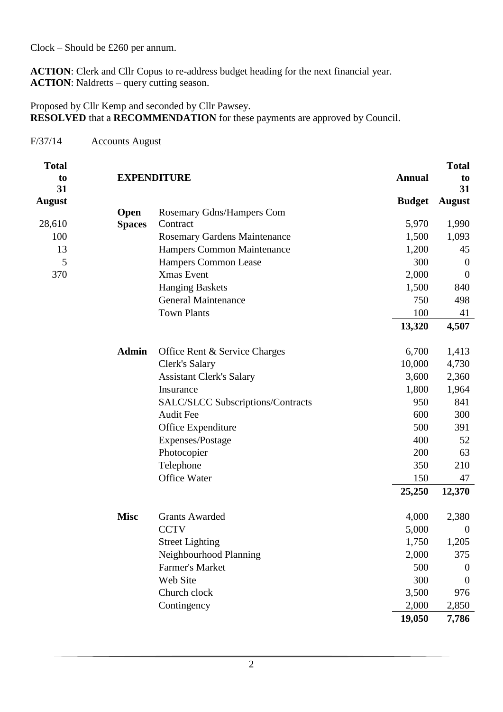Clock – Should be £260 per annum.

**ACTION**: Clerk and Cllr Copus to re-address budget heading for the next financial year. **ACTION:** Naldretts – query cutting season.

Proposed by Cllr Kemp and seconded by Cllr Pawsey. **RESOLVED** that a **RECOMMENDATION** for these payments are approved by Council.

### F/37/14 Accounts August

| <b>Total</b>   |               |                                          |               | <b>Total</b>         |
|----------------|---------------|------------------------------------------|---------------|----------------------|
| to             |               | <b>EXPENDITURE</b>                       | <b>Annual</b> | to                   |
| 31             |               |                                          |               | 31                   |
| <b>August</b>  |               |                                          |               | <b>Budget</b> August |
|                | <b>Open</b>   | Rosemary Gdns/Hampers Com                |               |                      |
| 28,610         | <b>Spaces</b> | Contract                                 | 5,970         | 1,990                |
| 100            |               | Rosemary Gardens Maintenance             | 1,500         | 1,093                |
| 13             |               | Hampers Common Maintenance               | 1,200         | 45                   |
| $\mathfrak{S}$ |               | Hampers Common Lease                     | 300           | $\boldsymbol{0}$     |
| 370            |               | Xmas Event                               | 2,000         | $\mathbf{0}$         |
|                |               | <b>Hanging Baskets</b>                   | 1,500         | 840                  |
|                |               | <b>General Maintenance</b>               | 750           | 498                  |
|                |               | <b>Town Plants</b>                       | 100           | 41                   |
|                |               |                                          | 13,320        | 4,507                |
|                |               |                                          |               |                      |
|                | <b>Admin</b>  | Office Rent & Service Charges            | 6,700         | 1,413                |
|                |               | Clerk's Salary                           | 10,000        | 4,730                |
|                |               | <b>Assistant Clerk's Salary</b>          | 3,600         | 2,360                |
|                |               | Insurance                                | 1,800         | 1,964                |
|                |               | <b>SALC/SLCC Subscriptions/Contracts</b> | 950           | 841                  |
|                |               | Audit Fee                                | 600           | 300                  |
|                |               | Office Expenditure                       | 500           | 391                  |
|                |               | Expenses/Postage                         | 400           | 52                   |
|                |               |                                          | 200           | 63                   |
|                |               | Photocopier                              | 350           | 210                  |
|                |               | Telephone                                |               |                      |
|                |               | Office Water                             | 150           | 47                   |
|                |               |                                          | 25,250        | 12,370               |
|                |               |                                          |               |                      |
|                | <b>Misc</b>   | <b>Grants Awarded</b>                    | 4,000         | 2,380                |
|                |               | <b>CCTV</b>                              | 5,000         | $\boldsymbol{0}$     |
|                |               | <b>Street Lighting</b>                   | 1,750         | 1,205                |
|                |               | Neighbourhood Planning                   | 2,000         | 375                  |
|                |               | Farmer's Market                          | 500           | $\boldsymbol{0}$     |
|                |               | Web Site                                 | 300           | $\mathbf{0}$         |
|                |               | Church clock                             | 3,500         | 976                  |
|                |               | Contingency                              | 2,000         | 2,850                |
|                |               |                                          | 19,050        | 7,786                |